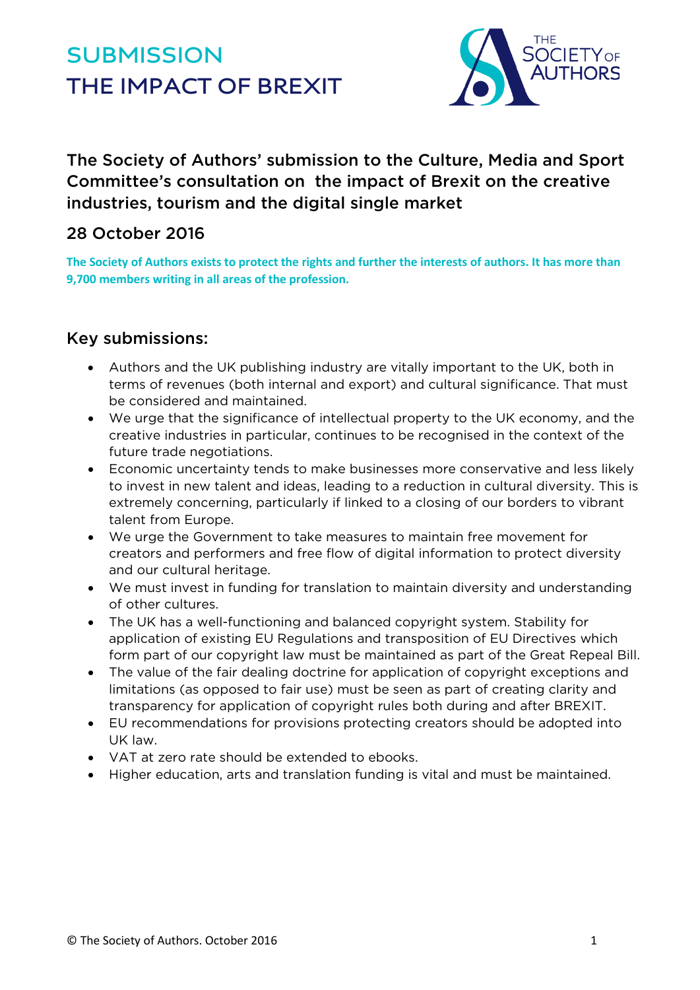# **SUBMISSION THE IMPACT OF BREXIT**



The Society of Authors' submission to the Culture, Media and Sport Committee's consultation on the impact of Brexit on the creative industries, tourism and the digital single market

## 28 October 2016

**The Society of Authors exists to protect the rights and further the interests of authors. It has more than 9,700 members writing in all areas of the profession.**

### Key submissions:

- Authors and the UK publishing industry are vitally important to the UK, both in terms of revenues (both internal and export) and cultural significance. That must be considered and maintained.
- We urge that the significance of intellectual property to the UK economy, and the creative industries in particular, continues to be recognised in the context of the future trade negotiations.
- Economic uncertainty tends to make businesses more conservative and less likely to invest in new talent and ideas, leading to a reduction in cultural diversity. This is extremely concerning, particularly if linked to a closing of our borders to vibrant talent from Europe.
- We urge the Government to take measures to maintain free movement for creators and performers and free flow of digital information to protect diversity and our cultural heritage.
- We must invest in funding for translation to maintain diversity and understanding of other cultures.
- The UK has a well-functioning and balanced copyright system. Stability for application of existing EU Regulations and transposition of EU Directives which form part of our copyright law must be maintained as part of the Great Repeal Bill.
- The value of the fair dealing doctrine for application of copyright exceptions and limitations (as opposed to fair use) must be seen as part of creating clarity and transparency for application of copyright rules both during and after BREXIT.
- EU recommendations for provisions protecting creators should be adopted into UK law.
- VAT at zero rate should be extended to ebooks.
- Higher education, arts and translation funding is vital and must be maintained.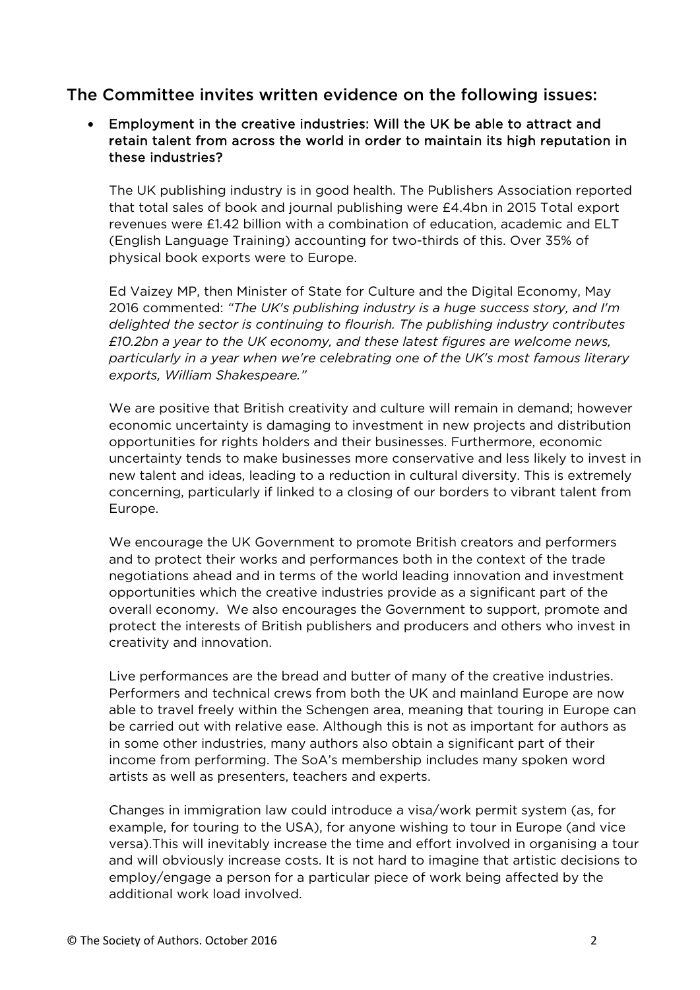#### The Committee invites written evidence on the following issues:

#### • Employment in the creative industries: Will the UK be able to attract and retain talent from across the world in order to maintain its high reputation in these industries?

The UK publishing industry is in good health. The Publishers Association reported that total sales of book and journal publishing were £4.4bn in 2015 Total export revenues were £1.42 billion with a combination of education, academic and ELT (English Language Training) accounting for two-thirds of this. Over 35% of physical book exports were to Europe.

Ed Vaizey MP, then Minister of State for Culture and the Digital Economy, May 2016 commented: *"The UK's publishing industry is a huge success story, and I'm delighted the sector is continuing to flourish. The publishing industry contributes £10.2bn a year to the UK economy, and these latest figures are welcome news, particularly in a year when we're celebrating one of the UK's most famous literary exports, William Shakespeare."*

We are positive that British creativity and culture will remain in demand; however economic uncertainty is damaging to investment in new projects and distribution opportunities for rights holders and their businesses. Furthermore, economic uncertainty tends to make businesses more conservative and less likely to invest in new talent and ideas, leading to a reduction in cultural diversity. This is extremely concerning, particularly if linked to a closing of our borders to vibrant talent from Europe.

We encourage the UK Government to promote British creators and performers and to protect their works and performances both in the context of the trade negotiations ahead and in terms of the world leading innovation and investment opportunities which the creative industries provide as a significant part of the overall economy. We also encourages the Government to support, promote and protect the interests of British publishers and producers and others who invest in creativity and innovation.

Live performances are the bread and butter of many of the creative industries. Performers and technical crews from both the UK and mainland Europe are now able to travel freely within the Schengen area, meaning that touring in Europe can be carried out with relative ease. Although this is not as important for authors as in some other industries, many authors also obtain a significant part of their income from performing. The SoA's membership includes many spoken word artists as well as presenters, teachers and experts.

Changes in immigration law could introduce a visa/work permit system (as, for example, for touring to the USA), for anyone wishing to tour in Europe (and vice versa).This will inevitably increase the time and effort involved in organising a tour and will obviously increase costs. It is not hard to imagine that artistic decisions to employ/engage a person for a particular piece of work being affected by the additional work load involved.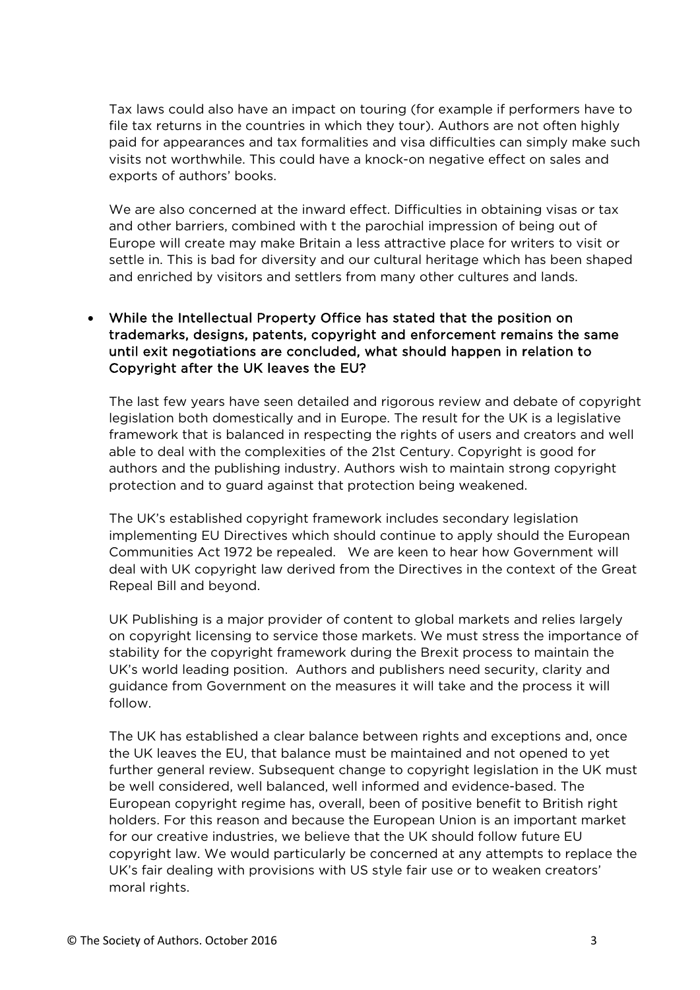Tax laws could also have an impact on touring (for example if performers have to file tax returns in the countries in which they tour). Authors are not often highly paid for appearances and tax formalities and visa difficulties can simply make such visits not worthwhile. This could have a knock-on negative effect on sales and exports of authors' books.

We are also concerned at the inward effect. Difficulties in obtaining visas or tax and other barriers, combined with t the parochial impression of being out of Europe will create may make Britain a less attractive place for writers to visit or settle in. This is bad for diversity and our cultural heritage which has been shaped and enriched by visitors and settlers from many other cultures and lands.

• While the Intellectual Property Office has stated that the position on trademarks, designs, patents, copyright and enforcement remains the same until exit negotiations are concluded, what should happen in relation to Copyright after the UK leaves the EU?

The last few years have seen detailed and rigorous review and debate of copyright legislation both domestically and in Europe. The result for the UK is a legislative framework that is balanced in respecting the rights of users and creators and well able to deal with the complexities of the 21st Century. Copyright is good for authors and the publishing industry. Authors wish to maintain strong copyright protection and to guard against that protection being weakened.

The UK's established copyright framework includes secondary legislation implementing EU Directives which should continue to apply should the European Communities Act 1972 be repealed. We are keen to hear how Government will deal with UK copyright law derived from the Directives in the context of the Great Repeal Bill and beyond.

UK Publishing is a major provider of content to global markets and relies largely on copyright licensing to service those markets. We must stress the importance of stability for the copyright framework during the Brexit process to maintain the UK's world leading position. Authors and publishers need security, clarity and guidance from Government on the measures it will take and the process it will follow.

The UK has established a clear balance between rights and exceptions and, once the UK leaves the EU, that balance must be maintained and not opened to yet further general review. Subsequent change to copyright legislation in the UK must be well considered, well balanced, well informed and evidence-based. The European copyright regime has, overall, been of positive benefit to British right holders. For this reason and because the European Union is an important market for our creative industries, we believe that the UK should follow future EU copyright law. We would particularly be concerned at any attempts to replace the UK's fair dealing with provisions with US style fair use or to weaken creators' moral rights.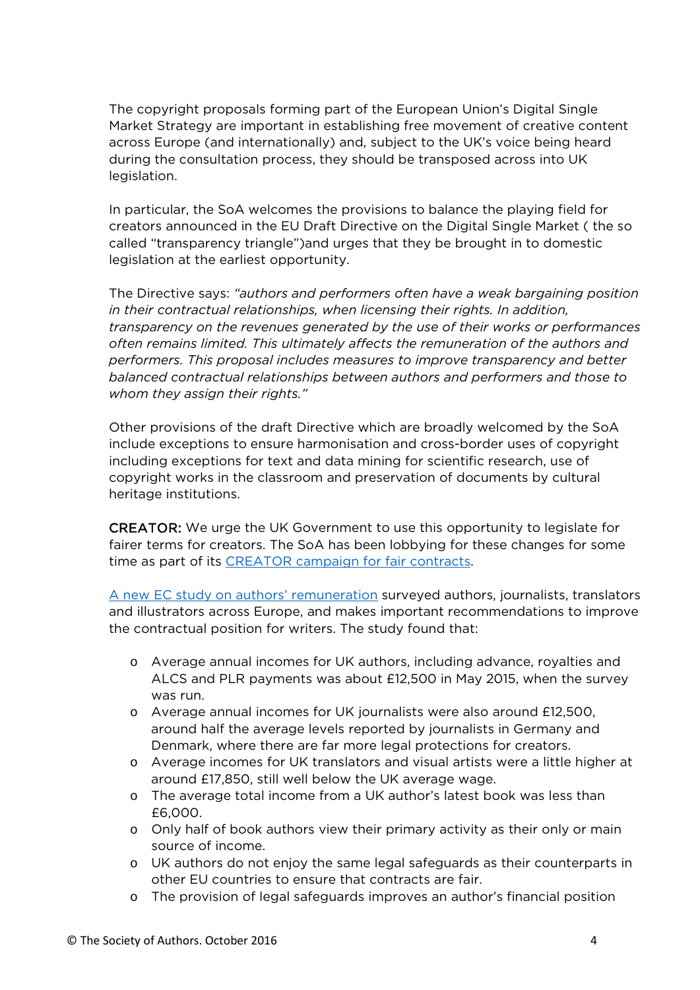The copyright proposals forming part of the European Union's Digital Single Market Strategy are important in establishing free movement of creative content across Europe (and internationally) and, subject to the UK's voice being heard during the consultation process, they should be transposed across into UK legislation.

In particular, the SoA welcomes the provisions to balance the playing field for creators announced in the EU Draft Directive on the Digital Single Market ( the so called "transparency triangle")and urges that they be brought in to domestic legislation at the earliest opportunity.

The Directive says: *"authors and performers often have a weak bargaining position in their contractual relationships, when licensing their rights. In addition, transparency on the revenues generated by the use of their works or performances often remains limited. This ultimately affects the remuneration of the authors and performers. This proposal includes measures to improve transparency and better balanced contractual relationships between authors and performers and those to whom they assign their rights."*

Other provisions of the draft Directive which are broadly welcomed by the SoA include exceptions to ensure harmonisation and cross-border uses of copyright including exceptions for text and data mining for scientific research, use of copyright works in the classroom and preservation of documents by cultural heritage institutions.

CREATOR: We urge the UK Government to use this opportunity to legislate for fairer terms for creators. The SoA has been lobbying for these changes for some time as part of its [CREATOR campaign for fair contracts.](http://www.societyofauthors.org/Where-We-Stand/C-R-E-A-T-O-R-Campaign-for-Fair-Contracts)

[A new EC study on authors' remuneration](https://ec.europa.eu/digital-single-market/en/news/commission-study-remuneration-authors-books-and-scientific-journals-translators-journalists-and) surveyed authors, journalists, translators and illustrators across Europe, and makes important recommendations to improve the contractual position for writers. The study found that:

- o Average annual incomes for UK authors, including advance, royalties and ALCS and PLR payments was about £12,500 in May 2015, when the survey was run.
- o Average annual incomes for UK journalists were also around £12,500, around half the average levels reported by journalists in Germany and Denmark, where there are far more legal protections for creators.
- o Average incomes for UK translators and visual artists were a little higher at around £17,850, still well below the UK average wage.
- o The average total income from a UK author's latest book was less than £6,000.
- o Only half of book authors view their primary activity as their only or main source of income.
- o UK authors do not enjoy the same legal safeguards as their counterparts in other EU countries to ensure that contracts are fair.
- o The provision of legal safeguards improves an author's financial position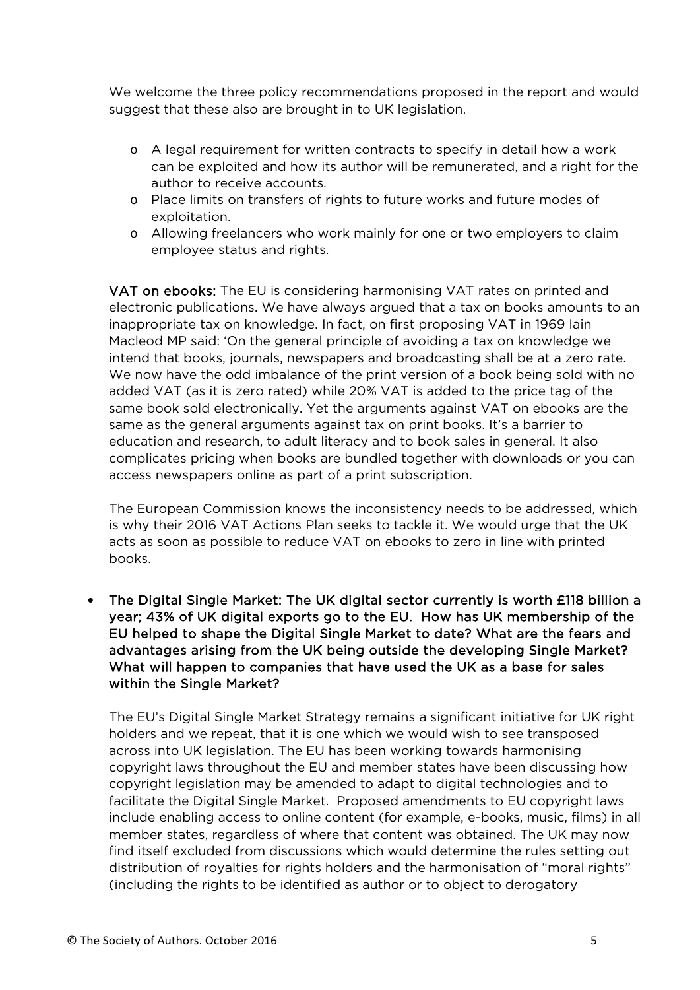We welcome the three policy recommendations proposed in the report and would suggest that these also are brought in to UK legislation.

- o A legal requirement for written contracts to specify in detail how a work can be exploited and how its author will be remunerated, and a right for the author to receive accounts.
- o Place limits on transfers of rights to future works and future modes of exploitation.
- o Allowing freelancers who work mainly for one or two employers to claim employee status and rights.

VAT on ebooks: The EU is considering harmonising VAT rates on printed and electronic publications. We have always argued that a tax on books amounts to an inappropriate tax on knowledge. In fact, on first proposing VAT in 1969 Iain Macleod MP said: 'On the general principle of avoiding a tax on knowledge we intend that books, journals, newspapers and broadcasting shall be at a zero rate. We now have the odd imbalance of the print version of a book being sold with no added VAT (as it is zero rated) while 20% VAT is added to the price tag of the same book sold electronically. Yet the arguments against VAT on ebooks are the same as the general arguments against tax on print books. It's a barrier to education and research, to adult literacy and to book sales in general. It also complicates pricing when books are bundled together with downloads or you can access newspapers online as part of a print subscription.

The European Commission knows the inconsistency needs to be addressed, which is why their 2016 VAT Actions Plan seeks to tackle it. We would urge that the UK acts as soon as possible to reduce VAT on ebooks to zero in line with printed books.

• The Digital Single Market: The UK digital sector currently is worth £118 billion a year; 43% of UK digital exports go to the EU. How has UK membership of the EU helped to shape the Digital Single Market to date? What are the fears and advantages arising from the UK being outside the developing Single Market? What will happen to companies that have used the UK as a base for sales within the Single Market?

The EU's Digital Single Market Strategy remains a significant initiative for UK right holders and we repeat, that it is one which we would wish to see transposed across into UK legislation. The EU has been working towards harmonising copyright laws throughout the EU and member states have been discussing how copyright legislation may be amended to adapt to digital technologies and to facilitate the Digital Single Market. Proposed amendments to EU copyright laws include enabling access to online content (for example, e-books, music, films) in all member states, regardless of where that content was obtained. The UK may now find itself excluded from discussions which would determine the rules setting out distribution of royalties for rights holders and the harmonisation of "moral rights" (including the rights to be identified as author or to object to derogatory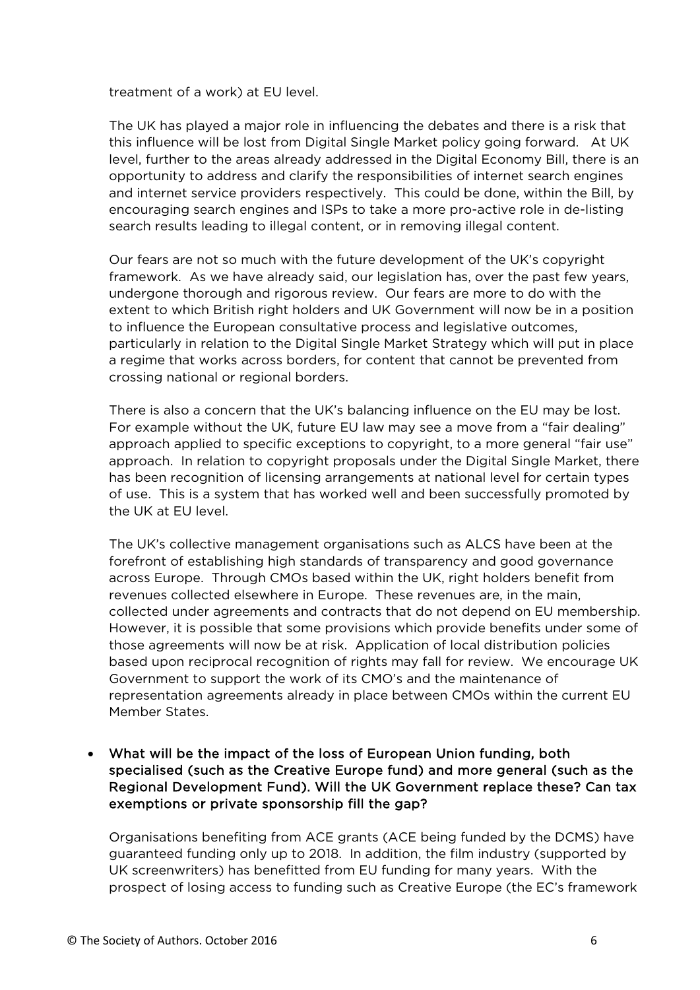treatment of a work) at EU level.

The UK has played a major role in influencing the debates and there is a risk that this influence will be lost from Digital Single Market policy going forward. At UK level, further to the areas already addressed in the Digital Economy Bill, there is an opportunity to address and clarify the responsibilities of internet search engines and internet service providers respectively. This could be done, within the Bill, by encouraging search engines and ISPs to take a more pro-active role in de-listing search results leading to illegal content, or in removing illegal content.

Our fears are not so much with the future development of the UK's copyright framework. As we have already said, our legislation has, over the past few years, undergone thorough and rigorous review. Our fears are more to do with the extent to which British right holders and UK Government will now be in a position to influence the European consultative process and legislative outcomes, particularly in relation to the Digital Single Market Strategy which will put in place a regime that works across borders, for content that cannot be prevented from crossing national or regional borders.

There is also a concern that the UK's balancing influence on the EU may be lost. For example without the UK, future EU law may see a move from a "fair dealing" approach applied to specific exceptions to copyright, to a more general "fair use" approach. In relation to copyright proposals under the Digital Single Market, there has been recognition of licensing arrangements at national level for certain types of use. This is a system that has worked well and been successfully promoted by the UK at EU level.

The UK's collective management organisations such as ALCS have been at the forefront of establishing high standards of transparency and good governance across Europe. Through CMOs based within the UK, right holders benefit from revenues collected elsewhere in Europe. These revenues are, in the main, collected under agreements and contracts that do not depend on EU membership. However, it is possible that some provisions which provide benefits under some of those agreements will now be at risk. Application of local distribution policies based upon reciprocal recognition of rights may fall for review. We encourage UK Government to support the work of its CMO's and the maintenance of representation agreements already in place between CMOs within the current EU Member States.

• What will be the impact of the loss of European Union funding, both specialised (such as the Creative Europe fund) and more general (such as the Regional Development Fund). Will the UK Government replace these? Can tax exemptions or private sponsorship fill the gap?

Organisations benefiting from ACE grants (ACE being funded by the DCMS) have guaranteed funding only up to 2018. In addition, the film industry (supported by UK screenwriters) has benefitted from EU funding for many years. With the prospect of losing access to funding such as Creative Europe (the EC's framework